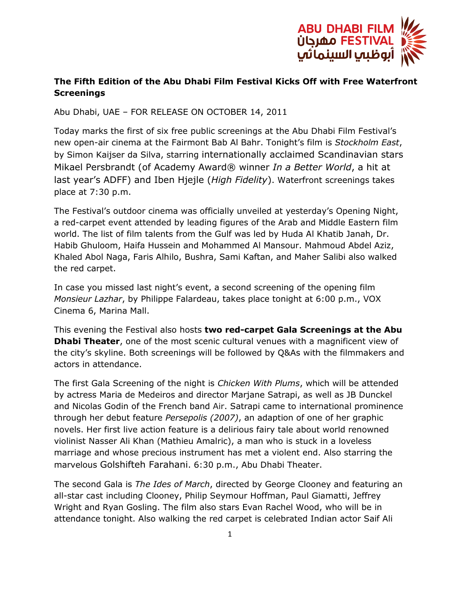

## **The Fifth Edition of the Abu Dhabi Film Festival Kicks Off with Free Waterfront Screenings**

Abu Dhabi, UAE – FOR RELEASE ON OCTOBER 14, 2011

Today marks the first of six free public screenings at the Abu Dhabi Film Festival's new open-air cinema at the Fairmont Bab Al Bahr. Tonight's film is *Stockholm East*, by Simon Kaijser da Silva, starring internationally acclaimed Scandinavian stars Mikael Persbrandt (of Academy Award® winner *In a Better World*, a hit at last year's ADFF) and Iben Hjejle (*High Fidelity*). Waterfront screenings takes place at 7:30 p.m.

The Festival's outdoor cinema was officially unveiled at yesterday's Opening Night, a red-carpet event attended by leading figures of the Arab and Middle Eastern film world. The list of film talents from the Gulf was led by Huda Al Khatib Janah, Dr. Habib Ghuloom, Haifa Hussein and Mohammed Al Mansour. Mahmoud Abdel Aziz, Khaled Abol Naga, Faris Alhilo, Bushra, Sami Kaftan, and Maher Salibi also walked the red carpet.

In case you missed last night's event, a second screening of the opening film *Monsieur Lazhar*, by Philippe Falardeau, takes place tonight at 6:00 p.m., VOX Cinema 6, Marina Mall.

This evening the Festival also hosts **two red-carpet Gala Screenings at the Abu Dhabi Theater**, one of the most scenic cultural venues with a magnificent view of the city's skyline. Both screenings will be followed by Q&As with the filmmakers and actors in attendance.

The first Gala Screening of the night is *Chicken With Plums*, which will be attended by actress Maria de Medeiros and director Marjane Satrapi, as well as JB Dunckel and Nicolas Godin of the French band Air. Satrapi came to international prominence through her debut feature *Persepolis (2007)*, an adaption of one of her graphic novels. Her first live action feature is a delirious fairy tale about world renowned violinist Nasser Ali Khan (Mathieu Amalric), a man who is stuck in a loveless marriage and whose precious instrument has met a violent end. Also starring the marvelous Golshifteh Farahani. 6:30 p.m., Abu Dhabi Theater.

The second Gala is *The Ides of March*, directed by George Clooney and featuring an all-star cast including Clooney, Philip Seymour Hoffman, Paul Giamatti, Jeffrey Wright and Ryan Gosling. The film also stars Evan Rachel Wood, who will be in attendance tonight. Also walking the red carpet is celebrated Indian actor Saif Ali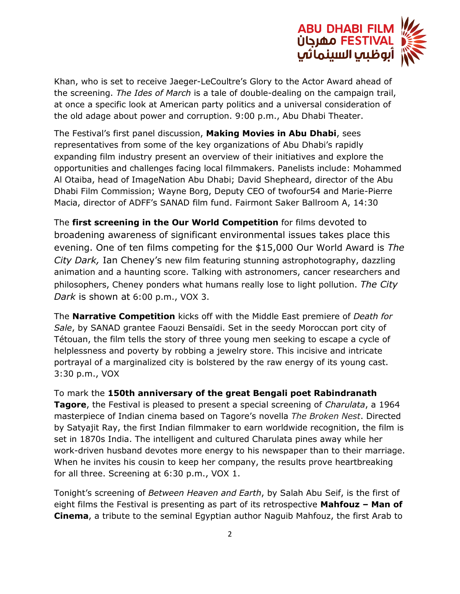

Khan, who is set to receive Jaeger-LeCoultre's Glory to the Actor Award ahead of the screening. *The Ides of March* is a tale of double-dealing on the campaign trail, at once a specific look at American party politics and a universal consideration of the old adage about power and corruption. 9:00 p.m., Abu Dhabi Theater.

The Festival's first panel discussion, **Making Movies in Abu Dhabi**, sees representatives from some of the key organizations of Abu Dhabi's rapidly expanding film industry present an overview of their initiatives and explore the opportunities and challenges facing local filmmakers. Panelists include: Mohammed Al Otaiba, head of ImageNation Abu Dhabi; David Shepheard, director of the Abu Dhabi Film Commission; Wayne Borg, Deputy CEO of twofour54 and Marie-Pierre Macia, director of ADFF's SANAD film fund. Fairmont Saker Ballroom A, 14:30

The **first screening in the Our World Competition** for films devoted to broadening awareness of significant environmental issues takes place this evening. One of ten films competing for the \$15,000 Our World Award is *The City Dark,* Ian Cheney's new film featuring stunning astrophotography, dazzling animation and a haunting score. Talking with astronomers, cancer researchers and philosophers, Cheney ponders what humans really lose to light pollution. *The City Dark* is shown at 6:00 p.m., VOX 3.

The **Narrative Competition** kicks off with the Middle East premiere of *Death for Sale*, by SANAD grantee Faouzi Bensaïdi. Set in the seedy Moroccan port city of Tétouan, the film tells the story of three young men seeking to escape a cycle of helplessness and poverty by robbing a jewelry store. This incisive and intricate portrayal of a marginalized city is bolstered by the raw energy of its young cast. 3:30 p.m., VOX

To mark the **150th anniversary of the great Bengali poet Rabindranath Tagore**, the Festival is pleased to present a special screening of *Charulata*, a 1964 masterpiece of Indian cinema based on Tagore's novella *The Broken Nest*. Directed by Satyajit Ray, the first Indian filmmaker to earn worldwide recognition, the film is set in 1870s India. The intelligent and cultured Charulata pines away while her work-driven husband devotes more energy to his newspaper than to their marriage. When he invites his cousin to keep her company, the results prove heartbreaking for all three. Screening at 6:30 p.m., VOX 1.

Tonight's screening of *Between Heaven and Earth*, by Salah Abu Seif, is the first of eight films the Festival is presenting as part of its retrospective **Mahfouz – Man of Cinema**, a tribute to the seminal Egyptian author Naguib Mahfouz, the first Arab to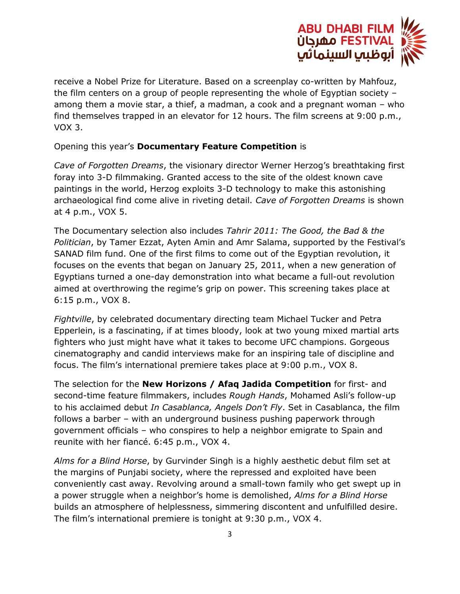

receive a Nobel Prize for Literature. Based on a screenplay co-written by Mahfouz, the film centers on a group of people representing the whole of Egyptian society – among them a movie star, a thief, a madman, a cook and a pregnant woman – who find themselves trapped in an elevator for 12 hours. The film screens at 9:00 p.m., VOX 3.

Opening this year's **Documentary Feature Competition** is

*Cave of Forgotten Dreams*, the visionary director Werner Herzog's breathtaking first foray into 3-D filmmaking. Granted access to the site of the oldest known cave paintings in the world, Herzog exploits 3-D technology to make this astonishing archaeological find come alive in riveting detail. *Cave of Forgotten Dreams* is shown at 4 p.m., VOX 5.

The Documentary selection also includes *Tahrir 2011: The Good, the Bad & the Politician*, by Tamer Ezzat, Ayten Amin and Amr Salama, supported by the Festival's SANAD film fund. One of the first films to come out of the Egyptian revolution, it focuses on the events that began on January 25, 2011, when a new generation of Egyptians turned a one-day demonstration into what became a full-out revolution aimed at overthrowing the regime's grip on power. This screening takes place at 6:15 p.m., VOX 8.

*Fightville*, by celebrated documentary directing team Michael Tucker and Petra Epperlein, is a fascinating, if at times bloody, look at two young mixed martial arts fighters who just might have what it takes to become UFC champions. Gorgeous cinematography and candid interviews make for an inspiring tale of discipline and focus. The film's international premiere takes place at 9:00 p.m., VOX 8.

The selection for the **New Horizons / Afaq Jadida Competition** for first- and second-time feature filmmakers, includes *Rough Hands*, Mohamed Asli's follow-up to his acclaimed debut *In Casablanca, Angels Don't Fly*. Set in Casablanca, the film follows a barber – with an underground business pushing paperwork through government officials – who conspires to help a neighbor emigrate to Spain and reunite with her fiancé. 6:45 p.m., VOX 4.

*Alms for a Blind Horse*, by Gurvinder Singh is a highly aesthetic debut film set at the margins of Punjabi society, where the repressed and exploited have been conveniently cast away. Revolving around a small-town family who get swept up in a power struggle when a neighbor's home is demolished, *Alms for a Blind Horse* builds an atmosphere of helplessness, simmering discontent and unfulfilled desire. The film's international premiere is tonight at 9:30 p.m., VOX 4.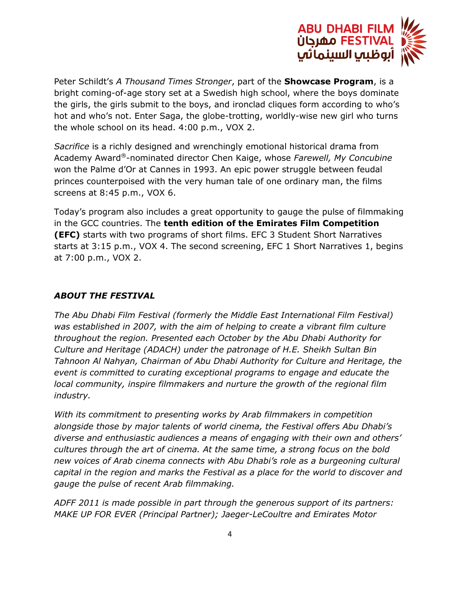

Peter Schildt's *A Thousand Times Stronger*, part of the **Showcase Program**, is a bright coming-of-age story set at a Swedish high school, where the boys dominate the girls, the girls submit to the boys, and ironclad cliques form according to who's hot and who's not. Enter Saga, the globe-trotting, worldly-wise new girl who turns the whole school on its head. 4:00 p.m., VOX 2.

*Sacrifice* is a richly designed and wrenchingly emotional historical drama from Academy Award®-nominated director Chen Kaige, whose *Farewell, My Concubine* won the Palme d'Or at Cannes in 1993. An epic power struggle between feudal princes counterpoised with the very human tale of one ordinary man, the films screens at 8:45 p.m., VOX 6.

Today's program also includes a great opportunity to gauge the pulse of filmmaking in the GCC countries. The **tenth edition of the Emirates Film Competition (EFC)** starts with two programs of short films. EFC 3 Student Short Narratives starts at 3:15 p.m., VOX 4. The second screening, EFC 1 Short Narratives 1, begins at 7:00 p.m., VOX 2.

## *ABOUT THE FESTIVAL*

*The Abu Dhabi Film Festival (formerly the Middle East International Film Festival) was established in 2007, with the aim of helping to create a vibrant film culture throughout the region. Presented each October by the Abu Dhabi Authority for Culture and Heritage (ADACH) under the patronage of H.E. Sheikh Sultan Bin Tahnoon Al Nahyan, Chairman of Abu Dhabi Authority for Culture and Heritage, the event is committed to curating exceptional programs to engage and educate the local community, inspire filmmakers and nurture the growth of the regional film industry.*

*With its commitment to presenting works by Arab filmmakers in competition alongside those by major talents of world cinema, the Festival offers Abu Dhabi's diverse and enthusiastic audiences a means of engaging with their own and others' cultures through the art of cinema. At the same time, a strong focus on the bold new voices of Arab cinema connects with Abu Dhabi's role as a burgeoning cultural capital in the region and marks the Festival as a place for the world to discover and gauge the pulse of recent Arab filmmaking.*

*ADFF 2011 is made possible in part through the generous support of its partners: MAKE UP FOR EVER (Principal Partner); Jaeger-LeCoultre and Emirates Motor*